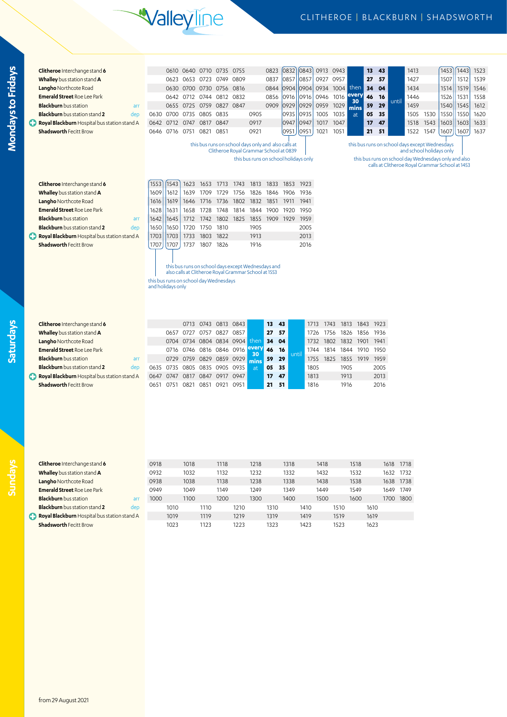## **Valleyline**

## CLITHEROE | BLACKBURN | SHADSWORTH

|    | Clitheroe Interchange stand 6                                                 |                                        | 0610         | 0640                | 0710           | 0735                                                                                                       | 0755         |            | 0823         | 0832 0843                                           |              | 0913 0943 |                |            | 13           | 43   |           | 1413 |                                                                            | 1453 | 1443 | 1523 |
|----|-------------------------------------------------------------------------------|----------------------------------------|--------------|---------------------|----------------|------------------------------------------------------------------------------------------------------------|--------------|------------|--------------|-----------------------------------------------------|--------------|-----------|----------------|------------|--------------|------|-----------|------|----------------------------------------------------------------------------|------|------|------|
|    | Whalley bus station stand A                                                   |                                        |              | 0623 0653 0723      |                | 0749 0809                                                                                                  |              |            | 0837         | 0857                                                | 0857         | 0927 0957 |                |            | 27           | 57   |           | 1427 |                                                                            | 1507 | 1512 | 1539 |
|    | <b>Langho Northcote Road</b>                                                  |                                        |              |                     |                | 0630 0700 0730 0756 0816                                                                                   |              |            | 0844         | 0904 0904                                           |              |           | 0934 1004      | then       | 34           | 04   |           | 1434 |                                                                            | 1514 | 1519 | 1546 |
|    | <b>Emerald Street Roe Lee Park</b>                                            |                                        |              |                     |                | 0642 0712 0744 0812 0832                                                                                   |              |            | 0856         | 0916                                                | 0916         | 0946 1016 |                | every      | 46           | 16   |           | 1446 |                                                                            | 1526 | 1531 | 1558 |
|    | <b>Blackburn</b> bus station<br>arr                                           |                                        |              |                     |                | 0655 0725 0759 0827 0847                                                                                   |              |            | 0909         | 0929                                                | 0929         | 0959 1029 |                | 30<br>mins | 59           | 29   | until     | 1459 |                                                                            | 1540 | 1545 | 1612 |
|    | <b>Blackburn</b> bus station stand 2<br>dep                                   | 0630                                   |              | 0700 0735 0805 0835 |                |                                                                                                            |              | 0905       |              | 0935                                                | 0935         | 1005      | 1035           | at         | 05           | - 35 |           |      | 1505 1530                                                                  | 1550 | 1550 | 1620 |
|    | Royal Blackburn Hospital bus station stand A                                  | 0642                                   |              | 0712 0747 0817      |                | 0847                                                                                                       |              | 0917       |              | 0947                                                | 0947         | 1017      | 1047           |            | 17           | 47   |           | 1518 | 1543                                                                       | 1603 | 1603 | 1633 |
|    | <b>Shadsworth Fecitt Brow</b>                                                 | 0646                                   |              | 0716 0751 0821 0851 |                |                                                                                                            |              | 0921       |              | 0951                                                | 0951         | 1021      | 1051           |            | 21           | 51   |           | 1522 | 1547                                                                       | 1607 | 1607 | 1637 |
|    |                                                                               |                                        |              |                     |                |                                                                                                            |              |            |              |                                                     |              |           |                |            |              |      |           |      |                                                                            |      |      |      |
|    |                                                                               |                                        |              |                     |                | Clitheroe Royal Grammar School at 0839                                                                     |              |            |              | this bus runs on school days only and also calls at |              |           |                |            |              |      |           |      | this bus runs on school days except Wednesdays<br>and school holidays only |      |      |      |
|    |                                                                               |                                        |              |                     |                |                                                                                                            |              |            |              | this bus runs on school holidays only               |              |           |                |            |              |      |           |      | this bus runs on school day Wednesdays only and also                       |      |      |      |
|    |                                                                               |                                        |              |                     |                |                                                                                                            |              |            |              |                                                     |              |           |                |            |              |      |           |      | calls at Clitheroe Royal Grammar School at 1453                            |      |      |      |
|    |                                                                               |                                        |              |                     |                |                                                                                                            |              |            |              |                                                     |              |           |                |            |              |      |           |      |                                                                            |      |      |      |
|    | Clitheroe Interchange stand 6                                                 | 1553                                   | 1543         | 1623                | 1653           | 1713                                                                                                       | 1743         | 1813       | 1833         | 1853                                                | 1923         |           |                |            |              |      |           |      |                                                                            |      |      |      |
|    | Whalley bus station stand A                                                   | 1609                                   | 1612         | 1639 1709           |                | 1729                                                                                                       | 1756         | 1826       | 1846 1906    |                                                     | 1936         |           |                |            |              |      |           |      |                                                                            |      |      |      |
|    | <b>Langho Northcote Road</b>                                                  | 1616                                   | 1619         | 1646 1716           |                | 1736 1802 1832 1851                                                                                        |              |            |              | 1911                                                | 1941         |           |                |            |              |      |           |      |                                                                            |      |      |      |
|    | <b>Emerald Street Roe Lee Park</b>                                            | 1628                                   | 1631         | 1658 1728           |                | 1748                                                                                                       | 1814         | 1844       | 1900         | 1920                                                | 1950         |           |                |            |              |      |           |      |                                                                            |      |      |      |
|    | <b>Blackburn</b> bus station<br>arr                                           | 1642                                   | 1645         | 1712 1742           |                | 1802                                                                                                       | 1825         | 1855       | 1909 1929    |                                                     | 1959         |           |                |            |              |      |           |      |                                                                            |      |      |      |
|    | <b>Blackburn</b> bus station stand 2<br>dep                                   | 1650                                   | 1650         |                     | 1720 1750 1810 |                                                                                                            |              | 1905       |              |                                                     | 2005         |           |                |            |              |      |           |      |                                                                            |      |      |      |
| C) | Royal Blackburn Hospital bus station stand A                                  | 1703                                   | 1703         |                     | 1733 1803 1822 |                                                                                                            |              | 1913       |              |                                                     | 2013         |           |                |            |              |      |           |      |                                                                            |      |      |      |
|    | <b>Shadsworth Fecitt Brow</b>                                                 | 1707                                   | 1707         |                     | 1737 1807 1826 |                                                                                                            |              | 1916       |              |                                                     | 2016         |           |                |            |              |      |           |      |                                                                            |      |      |      |
|    |                                                                               |                                        |              |                     |                |                                                                                                            |              |            |              |                                                     |              |           |                |            |              |      |           |      |                                                                            |      |      |      |
|    |                                                                               |                                        |              |                     |                |                                                                                                            |              |            |              |                                                     |              |           |                |            |              |      |           |      |                                                                            |      |      |      |
|    |                                                                               |                                        |              |                     |                | this bus runs on school days except Wednesdays and<br>also calls at Clitheroe Royal Grammar School at 1553 |              |            |              |                                                     |              |           |                |            |              |      |           |      |                                                                            |      |      |      |
|    |                                                                               | this bus runs on school day Wednesdays |              |                     |                |                                                                                                            |              |            |              |                                                     |              |           |                |            |              |      |           |      |                                                                            |      |      |      |
|    |                                                                               |                                        |              |                     |                |                                                                                                            |              |            |              |                                                     |              |           |                |            |              |      |           |      |                                                                            |      |      |      |
|    |                                                                               | and holidays only                      |              |                     |                |                                                                                                            |              |            |              |                                                     |              |           |                |            |              |      |           |      |                                                                            |      |      |      |
|    |                                                                               |                                        |              |                     |                |                                                                                                            |              |            |              |                                                     |              |           |                |            |              |      |           |      |                                                                            |      |      |      |
|    |                                                                               |                                        |              |                     |                |                                                                                                            |              |            |              |                                                     |              |           |                |            |              |      |           |      |                                                                            |      |      |      |
|    |                                                                               |                                        |              |                     |                |                                                                                                            |              |            |              |                                                     |              |           |                |            |              |      |           |      |                                                                            |      |      |      |
|    | Clitheroe Interchange stand 6                                                 |                                        |              | 0713 0743           |                | 0813 0843                                                                                                  |              |            | 13           | 43                                                  | 1713         | 1743      |                | 1813 1843  |              | 1923 |           |      |                                                                            |      |      |      |
|    | Whalley bus station stand A                                                   |                                        |              |                     |                | 0657 0727 0757 0827 0857                                                                                   |              |            | 27           | 57                                                  | 1726         | 1756      | 1826           | 1856       |              | 1936 |           |      |                                                                            |      |      |      |
|    | Langho Northcote Road                                                         |                                        | 0704         |                     |                | 0734 0804 0834 0904                                                                                        |              | then       | 34           | 04                                                  | 1732         | 1802      | 1832           | 1901       |              | 1941 |           |      |                                                                            |      |      |      |
|    | <b>Emerald Street Roe Lee Park</b>                                            |                                        |              |                     |                | 0716 0746 0816 0846 0916                                                                                   |              | every      | 46           | 16                                                  | 1744         |           | 1814 1844 1910 |            |              | 1950 |           |      |                                                                            |      |      |      |
|    | <b>Blackburn</b> bus station<br>arr                                           |                                        |              |                     |                | 0729 0759 0829 0859 0929                                                                                   |              | 30<br>mins | 59           | until<br>29                                         | 1755         | 1825      |                | 1855 1919  |              | 1959 |           |      |                                                                            |      |      |      |
|    | <b>Blackburn</b> bus station stand 2<br>dep                                   | 0635                                   |              |                     |                | 0735 0805 0835 0905 0935                                                                                   |              | at         | 05           | 35                                                  | 1805         |           | 1905           |            |              | 2005 |           |      |                                                                            |      |      |      |
|    | Royal Blackburn Hospital bus station stand A                                  | 0647                                   | 0747         |                     |                | 0817 0847 0917 0947                                                                                        |              |            | 17           | 47                                                  | 1813         |           | 1913           |            |              | 2013 |           |      |                                                                            |      |      |      |
|    | <b>Shadsworth Fecitt Brow</b>                                                 | 0651                                   |              |                     |                | 0751 0821 0851 0921 0951                                                                                   |              |            | 21           | 51                                                  | 1816         |           | 1916           |            |              | 2016 |           |      |                                                                            |      |      |      |
|    |                                                                               |                                        |              |                     |                |                                                                                                            |              |            |              |                                                     |              |           |                |            |              |      |           |      |                                                                            |      |      |      |
|    |                                                                               |                                        |              |                     |                |                                                                                                            |              |            |              |                                                     |              |           |                |            |              |      |           |      |                                                                            |      |      |      |
|    |                                                                               |                                        |              |                     |                |                                                                                                            |              |            |              |                                                     |              |           |                |            |              |      |           |      |                                                                            |      |      |      |
|    |                                                                               |                                        |              |                     |                |                                                                                                            |              |            |              |                                                     |              |           |                |            |              |      |           |      |                                                                            |      |      |      |
|    |                                                                               |                                        |              |                     |                |                                                                                                            |              |            |              |                                                     |              |           |                |            |              |      |           |      |                                                                            |      |      |      |
|    |                                                                               |                                        |              |                     |                |                                                                                                            |              |            |              |                                                     |              |           |                |            |              |      |           |      |                                                                            |      |      |      |
|    |                                                                               |                                        |              |                     |                |                                                                                                            |              |            |              |                                                     |              |           |                |            |              |      |           |      |                                                                            |      |      |      |
|    |                                                                               |                                        |              |                     |                |                                                                                                            |              |            |              |                                                     |              |           |                |            |              |      |           |      |                                                                            |      |      |      |
|    | Clitheroe Interchange stand 6                                                 | 0918                                   |              | 1018                |                | 1118                                                                                                       |              | 1218       |              | 1318                                                |              | 1418      |                | 1518       |              |      | 1618 1718 |      |                                                                            |      |      |      |
|    | Whalley bus station stand A                                                   | 0932                                   |              | 1032                |                | 1132                                                                                                       |              | 1232       |              | 1332                                                |              | 1432      |                | 1532       |              |      | 1632 1732 |      |                                                                            |      |      |      |
|    | Langho Northcote Road                                                         | 0938                                   |              | 1038                |                | 1138                                                                                                       |              | 1238       |              | 1338                                                |              | 1438      |                | 1538       |              |      | 1638 1738 |      |                                                                            |      |      |      |
|    | <b>Emerald Street Roe Lee Park</b>                                            | 0949                                   |              | 1049                |                | 1149                                                                                                       |              | 1249       |              | 1349                                                |              | 1449      |                | 1549       |              |      | 1649 1749 |      |                                                                            |      |      |      |
|    | <b>Blackburn</b> bus station<br>arr                                           | 1000                                   |              | 1100                |                | 1200                                                                                                       |              | 1300       |              | 1400                                                |              | 1500      |                | 1600       |              |      | 1700 1800 |      |                                                                            |      |      |      |
|    | <b>Blackburn</b> bus station stand 2<br>dep                                   |                                        | 1010         |                     | 1110           |                                                                                                            | 1210         |            | 1310         |                                                     | 1410         |           | 1510           |            | 1610         |      |           |      |                                                                            |      |      |      |
|    | Royal Blackburn Hospital bus station stand A<br><b>Shadsworth Fecitt Brow</b> |                                        | 1019<br>1023 |                     | 1119<br>1123   |                                                                                                            | 1219<br>1223 |            | 1319<br>1323 |                                                     | 1419<br>1423 |           | 1519<br>1523   |            | 1619<br>1623 |      |           |      |                                                                            |      |      |      |